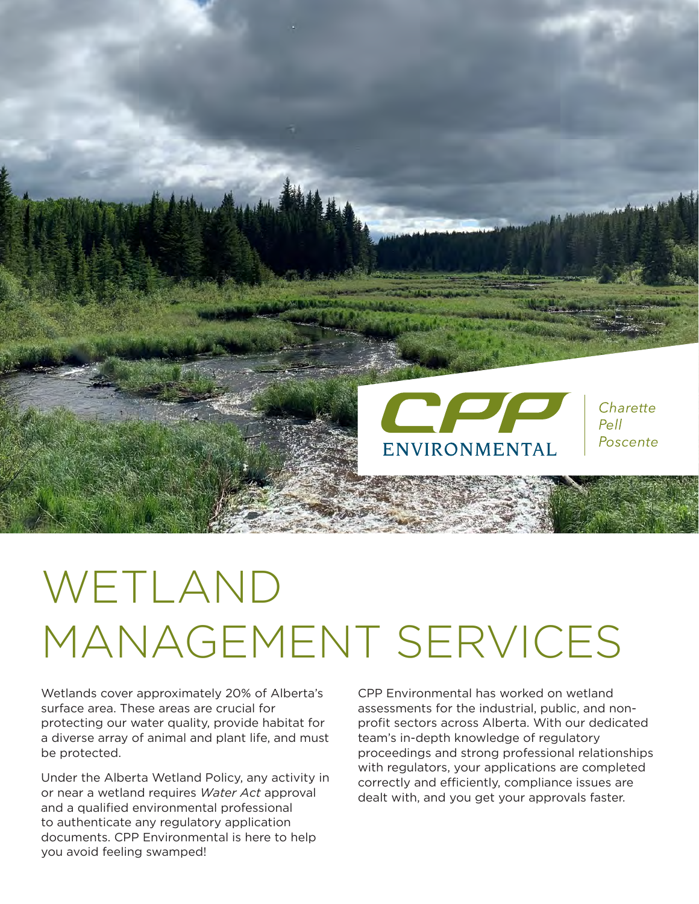

# WETLAND MANAGEMENT SERVICES

Wetlands cover approximately 20% of Alberta's surface area. These areas are crucial for protecting our water quality, provide habitat for a diverse array of animal and plant life, and must be protected.

Under the Alberta Wetland Policy, any activity in or near a wetland requires *Water Act* approval and a qualified environmental professional to authenticate any regulatory application documents. CPP Environmental is here to help you avoid feeling swamped!

CPP Environmental has worked on wetland assessments for the industrial, public, and nonprofit sectors across Alberta. With our dedicated team's in-depth knowledge of regulatory proceedings and strong professional relationships with regulators, your applications are completed correctly and efficiently, compliance issues are dealt with, and you get your approvals faster.